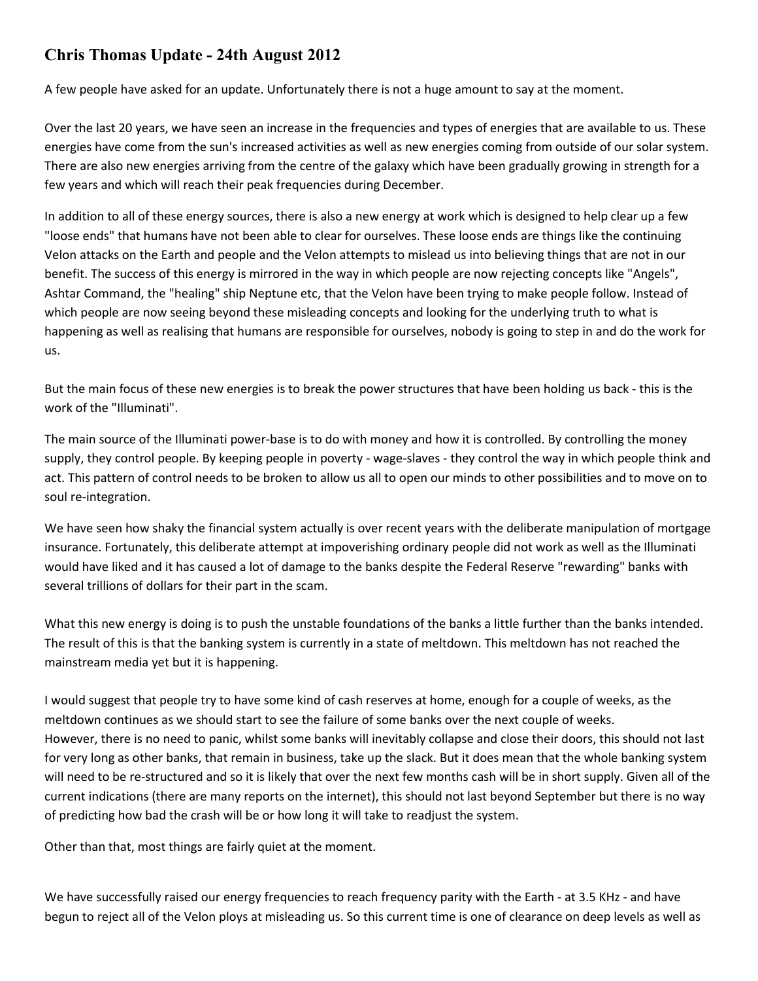## **Chris Thomas Update - 24th August 2012**

A few people have asked for an update. Unfortunately there is not a huge amount to say at the moment.

Over the last 20 years, we have seen an increase in the frequencies and types of energies that are available to us. These energies have come from the sun's increased activities as well as new energies coming from outside of our solar system. There are also new energies arriving from the centre of the galaxy which have been gradually growing in strength for a few years and which will reach their peak frequencies during December.

In addition to all of these energy sources, there is also a new energy at work which is designed to help clear up a few "loose ends" that humans have not been able to clear for ourselves. These loose ends are things like the continuing Velon attacks on the Earth and people and the Velon attempts to mislead us into believing things that are not in our benefit. The success of this energy is mirrored in the way in which people are now rejecting concepts like "Angels", Ashtar Command, the "healing" ship Neptune etc, that the Velon have been trying to make people follow. Instead of which people are now seeing beyond these misleading concepts and looking for the underlying truth to what is happening as well as realising that humans are responsible for ourselves, nobody is going to step in and do the work for us.

But the main focus of these new energies is to break the power structures that have been holding us back - this is the work of the "Illuminati".

The main source of the Illuminati power-base is to do with money and how it is controlled. By controlling the money supply, they control people. By keeping people in poverty - wage-slaves - they control the way in which people think and act. This pattern of control needs to be broken to allow us all to open our minds to other possibilities and to move on to soul re-integration.

We have seen how shaky the financial system actually is over recent years with the deliberate manipulation of mortgage insurance. Fortunately, this deliberate attempt at impoverishing ordinary people did not work as well as the Illuminati would have liked and it has caused a lot of damage to the banks despite the Federal Reserve "rewarding" banks with several trillions of dollars for their part in the scam.

What this new energy is doing is to push the unstable foundations of the banks a little further than the banks intended. The result of this is that the banking system is currently in a state of meltdown. This meltdown has not reached the mainstream media yet but it is happening.

I would suggest that people try to have some kind of cash reserves at home, enough for a couple of weeks, as the meltdown continues as we should start to see the failure of some banks over the next couple of weeks. However, there is no need to panic, whilst some banks will inevitably collapse and close their doors, this should not last for very long as other banks, that remain in business, take up the slack. But it does mean that the whole banking system will need to be re-structured and so it is likely that over the next few months cash will be in short supply. Given all of the current indications (there are many reports on the internet), this should not last beyond September but there is no way of predicting how bad the crash will be or how long it will take to readjust the system.

Other than that, most things are fairly quiet at the moment.

We have successfully raised our energy frequencies to reach frequency parity with the Earth - at 3.5 KHz - and have begun to reject all of the Velon ploys at misleading us. So this current time is one of clearance on deep levels as well as